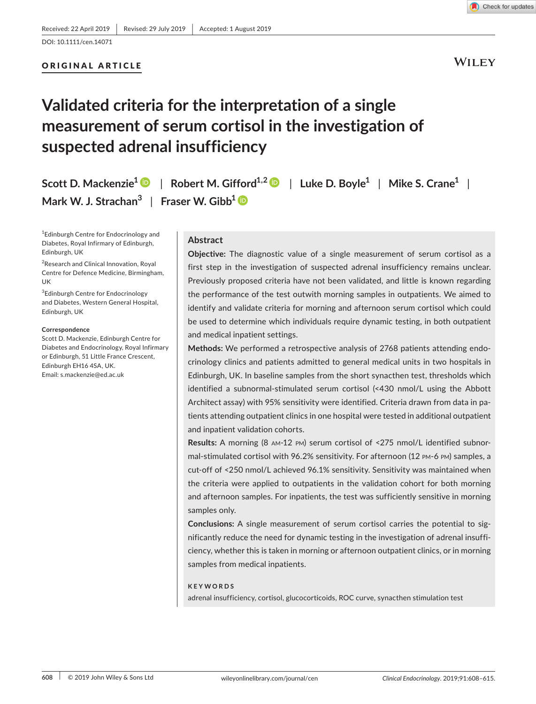## ORIGINAL ARTICLE

# **Validated criteria for the interpretation of a single measurement of serum cortisol in the investigation of suspected adrenal insufficiency**

**Scott D. Mackenzie1** | **Robert M. Gifford1,[2](https://orcid.org/0000-0002-6248-6400)** | **Luke D. Boyle1** | **Mike S. Crane1** | **Mark W. J. Strachan3** | **Fraser W. Gibb[1](https://orcid.org/0000-0002-5576-6463)**

<sup>1</sup>Edinburgh Centre for Endocrinology and Diabetes, Royal Infirmary of Edinburgh, Edinburgh, UK

<sup>2</sup> Research and Clinical Innovation, Royal Centre for Defence Medicine, Birmingham, UK

<sup>3</sup>Edinburgh Centre for Endocrinology and Diabetes, Western General Hospital, Edinburgh, UK

#### **Correspondence**

Scott D. Mackenzie, Edinburgh Centre for Diabetes and Endocrinology, Royal Infirmary or Edinburgh, 51 Little France Crescent, Edinburgh EH16 4SA, UK. Email: [s.mackenzie@ed.ac.uk](mailto:s.mackenzie@ed.ac.uk)

#### **Abstract**

**Objective:** The diagnostic value of a single measurement of serum cortisol as a first step in the investigation of suspected adrenal insufficiency remains unclear. Previously proposed criteria have not been validated, and little is known regarding the performance of the test outwith morning samples in outpatients. We aimed to identify and validate criteria for morning and afternoon serum cortisol which could be used to determine which individuals require dynamic testing, in both outpatient and medical inpatient settings.

**Methods:** We performed a retrospective analysis of 2768 patients attending endo‐ crinology clinics and patients admitted to general medical units in two hospitals in Edinburgh, UK. In baseline samples from the short synacthen test, thresholds which identified a subnormal‐stimulated serum cortisol (<430 nmol/L using the Abbott Architect assay) with 95% sensitivity were identified. Criteria drawn from data in pa‐ tients attending outpatient clinics in one hospital were tested in additional outpatient and inpatient validation cohorts.

**Results:** A morning (8 am‐12 pm) serum cortisol of <275 nmol/L identified subnor‐ mal‐stimulated cortisol with 96.2% sensitivity. For afternoon (12 pm‐6 pm) samples, a cut‐off of <250 nmol/L achieved 96.1% sensitivity. Sensitivity was maintained when the criteria were applied to outpatients in the validation cohort for both morning and afternoon samples. For inpatients, the test was sufficiently sensitive in morning samples only.

**Conclusions:** A single measurement of serum cortisol carries the potential to sig‐ nificantly reduce the need for dynamic testing in the investigation of adrenal insuffi‐ ciency, whether this is taken in morning or afternoon outpatient clinics, or in morning samples from medical inpatients.

#### **KEYWORDS**

adrenal insufficiency, cortisol, glucocorticoids, ROC curve, synacthen stimulation test



**WILEY**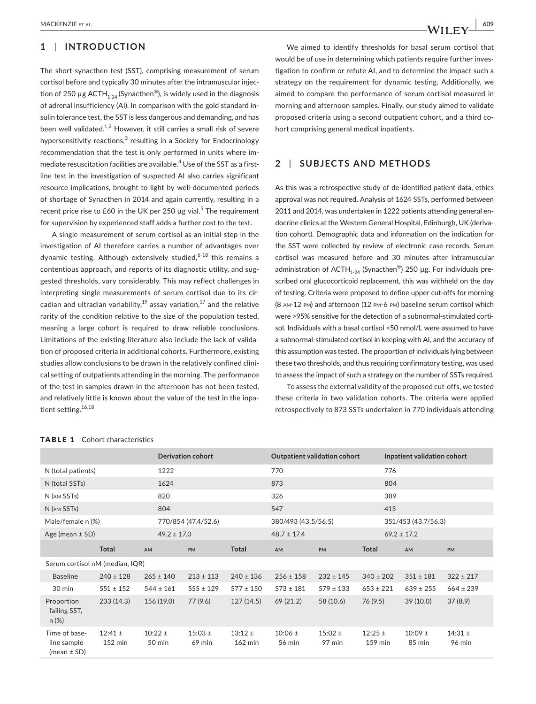# **1** | **INTRODUCTION**

The short synacthen test (SST), comprising measurement of serum cortisol before and typically 30 minutes after the intramuscular injec‐ tion of 250 µg ACTH<sub>1-24</sub> (Synacthen<sup>®</sup>), is widely used in the diagnosis of adrenal insufficiency (AI). In comparison with the gold standard in‐ sulin tolerance test, the SST is less dangerous and demanding, and has been well validated.<sup>1,2</sup> However, it still carries a small risk of severe hypersensitivity reactions, $^3$  resulting in a Society for Endocrinology recommendation that the test is only performed in units where im‐ mediate resuscitation facilities are available. $^{\text{4}}$  Use of the SST as a firstline test in the investigation of suspected AI also carries significant resource implications, brought to light by well‐documented periods of shortage of Synacthen in 2014 and again currently, resulting in a recent price rise to £60 in the UK per 250  $\mu$ g vial.<sup>5</sup> The requirement for supervision by experienced staff adds a further cost to the test.

A single measurement of serum cortisol as an initial step in the investigation of AI therefore carries a number of advantages over dynamic testing. Although extensively studied,<sup>6-18</sup> this remains a contentious approach, and reports of its diagnostic utility, and sug‐ gested thresholds, vary considerably. This may reflect challenges in interpreting single measurements of serum cortisol due to its circadian and ultradian variability, $19$  assay variation, $17$  and the relative rarity of the condition relative to the size of the population tested, meaning a large cohort is required to draw reliable conclusions. Limitations of the existing literature also include the lack of valida‐ tion of proposed criteria in additional cohorts. Furthermore, existing studies allow conclusions to be drawn in the relatively confined clini‐ cal setting of outpatients attending in the morning. The performance of the test in samples drawn in the afternoon has not been tested, and relatively little is known about the value of the test in the inpatient setting.<sup>16,18</sup>

We aimed to identify thresholds for basal serum cortisol that would be of use in determining which patients require further investigation to confirm or refute AI, and to determine the impact such a strategy on the requirement for dynamic testing. Additionally, we aimed to compare the performance of serum cortisol measured in morning and afternoon samples. Finally, our study aimed to validate proposed criteria using a second outpatient cohort, and a third cohort comprising general medical inpatients.

# **2** | **SUBJECTS AND METHODS**

As this was a retrospective study of de-identified patient data, ethics approval was not required. Analysis of 1624 SSTs, performed between 2011 and 2014, was undertaken in 1222 patients attending general en‐ docrine clinics at the Western General Hospital, Edinburgh, UK (deriva‐ tion cohort). Demographic data and information on the indication for the SST were collected by review of electronic case records. Serum cortisol was measured before and 30 minutes after intramuscular administration of ACTH<sub>1-24</sub> (Synacthen<sup>®</sup>) 250 µg. For individuals prescribed oral glucocorticoid replacement, this was withheld on the day of testing. Criteria were proposed to define upper cut-offs for morning (8 am‐12 pm) and afternoon (12 pm‐6 pm) baseline serum cortisol which were >95% sensitive for the detection of a subnormal-stimulated cortisol. Individuals with a basal cortisol <50 nmol/L were assumed to have a subnormal‐stimulated cortisol in keeping with AI, and the accuracy of this assumption was tested. The proportion of individuals lying between these two thresholds, and thus requiring confirmatory testing, was used to assess the impact of such a strategy on the number of SSTs required.

To assess the external validity of the proposed cut‐offs, we tested these criteria in two validation cohorts. The criteria were applied retrospectively to 873 SSTs undertaken in 770 individuals attending

|                                                 |                                  |                       | <b>Derivation cohort</b> |                                  |                       | <b>Outpatient validation cohort</b> |                          | Inpatient validation cohort |                       |
|-------------------------------------------------|----------------------------------|-----------------------|--------------------------|----------------------------------|-----------------------|-------------------------------------|--------------------------|-----------------------------|-----------------------|
| N (total patients)                              |                                  | 1222                  |                          |                                  | 770                   |                                     | 776                      |                             |                       |
| N (total SSTs)                                  |                                  | 1624                  |                          |                                  | 873                   |                                     | 804                      |                             |                       |
| N (AM SSTs)                                     |                                  | 820                   |                          |                                  | 326                   |                                     | 389                      |                             |                       |
| N (PM SSTs)                                     |                                  | 804                   |                          |                                  | 547                   |                                     | 415                      |                             |                       |
| Male/female n (%)                               |                                  |                       | 770/854 (47.4/52.6)      |                                  | 380/493 (43.5/56.5)   |                                     |                          | 351/453 (43.7/56.3)         |                       |
| Age (mean $\pm$ SD)                             |                                  | $49.2 \pm 17.0$       |                          |                                  | $48.7 \pm 17.4$       |                                     |                          | $69.2 \pm 17.2$             |                       |
|                                                 | <b>Total</b>                     | AM                    | <b>PM</b>                | <b>Total</b>                     | AM                    | <b>PM</b>                           | <b>Total</b>             | <b>AM</b>                   | <b>PM</b>             |
| Serum cortisol nM (median, IQR)                 |                                  |                       |                          |                                  |                       |                                     |                          |                             |                       |
| <b>Baseline</b>                                 | $240 \pm 128$                    | $265 \pm 140$         | $213 \pm 113$            | $240 \pm 136$                    | $256 \pm 158$         | $232 \pm 145$                       | $340 \pm 202$            | $351 \pm 181$               | $322 \pm 217$         |
| 30 min                                          | $551 \pm 152$                    | $544 \pm 161$         | $555 \pm 129$            | $577 \pm 150$                    | $573 \pm 181$         | $579 \pm 133$                       | $653 \pm 221$            | $639 \pm 255$               | $664 \pm 239$         |
| Proportion<br>failing SST,<br>$n (\%)$          | 233(14.3)                        | 156 (19.0)            | 77 (9.6)                 | 127(14.5)                        | 69(21.2)              | 58 (10.6)                           | 76 (9.5)                 | 39(10.0)                    | 37(8.9)               |
| Time of base-<br>line sample<br>(mean $\pm$ SD) | $12:41 \pm$<br>$152 \text{ min}$ | $10:22 \pm$<br>50 min | $15:03 \pm$<br>$69$ min  | $13:12 \pm$<br>$162 \text{ min}$ | $10:06 \pm$<br>56 min | $15:02 \pm$<br>97 min               | $12:25 \pm$<br>$159$ min | $10:09 \pm$<br>85 min       | $14:31 \pm$<br>96 min |

#### TABLE 1 Cohort characteristics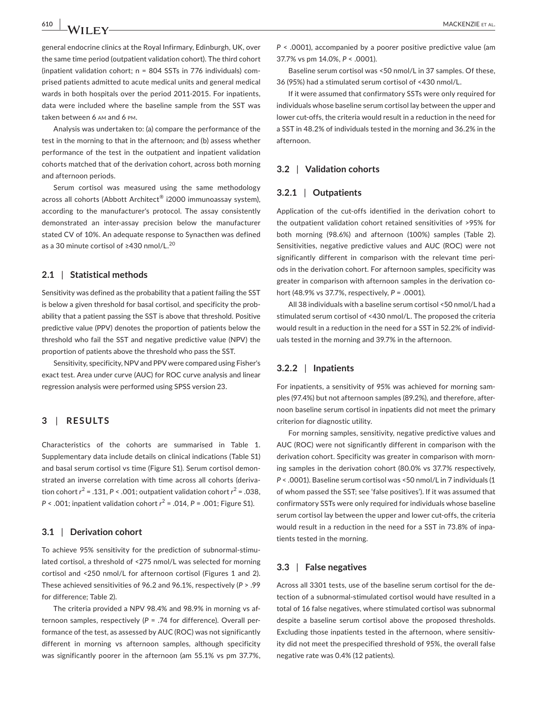**610 |**  MACKENZIE et al.

general endocrine clinics at the Royal Infirmary, Edinburgh, UK, over the same time period (outpatient validation cohort). The third cohort (inpatient validation cohort; n = 804 SSTs in 776 individuals) com‐ prised patients admitted to acute medical units and general medical wards in both hospitals over the period 2011‐2015. For inpatients, data were included where the baseline sample from the SST was taken between 6 am and 6 pm.

Analysis was undertaken to: (a) compare the performance of the test in the morning to that in the afternoon; and (b) assess whether performance of the test in the outpatient and inpatient validation cohorts matched that of the derivation cohort, across both morning and afternoon periods.

Serum cortisol was measured using the same methodology across all cohorts (Abbott Architect® i2000 immunoassay system), according to the manufacturer's protocol. The assay consistently demonstrated an inter‐assay precision below the manufacturer stated CV of 10%. An adequate response to Synacthen was defined as a 30 minute cortisol of ≥430 nmol/L.<sup>20</sup>

#### **2.1** | **Statistical methods**

Sensitivity was defined as the probability that a patient failing the SST is below a given threshold for basal cortisol, and specificity the probability that a patient passing the SST is above that threshold. Positive predictive value (PPV) denotes the proportion of patients below the threshold who fail the SST and negative predictive value (NPV) the proportion of patients above the threshold who pass the SST.

Sensitivity, specificity, NPV and PPV were compared using Fisher's exact test. Area under curve (AUC) for ROC curve analysis and linear regression analysis were performed using SPSS version 23.

# **3** | **RESULTS**

Characteristics of the cohorts are summarised in Table 1. Supplementary data include details on clinical indications (Table S1) and basal serum cortisol vs time (Figure S1). Serum cortisol demon‐ strated an inverse correlation with time across all cohorts (deriva‐ tion cohort  $r^2 = .131$ ,  $P < .001$ ; outpatient validation cohort  $r^2 = .038$ , *P* < .001; inpatient validation cohort *r* <sup>2</sup> = .014, *P* = .001; Figure S1).

#### **3.1** | **Derivation cohort**

To achieve 95% sensitivity for the prediction of subnormal‐stimu‐ lated cortisol, a threshold of <275 nmol/L was selected for morning cortisol and <250 nmol/L for afternoon cortisol (Figures 1 and 2). These achieved sensitivities of 96.2 and 96.1%, respectively (*P* > .99 for difference; Table 2).

The criteria provided a NPV 98.4% and 98.9% in morning vs af‐ ternoon samples, respectively (*P* = .74 for difference). Overall per‐ formance of the test, as assessed by AUC (ROC) was not significantly different in morning vs afternoon samples, although specificity was significantly poorer in the afternoon (am 55.1% vs pm 37.7%, *P* < .0001), accompanied by a poorer positive predictive value (am 37.7% vs pm 14.0%, *P* < .0001).

Baseline serum cortisol was <50 nmol/L in 37 samples. Of these, 36 (95%) had a stimulated serum cortisol of <430 nmol/L.

If it were assumed that confirmatory SSTs were only required for individuals whose baseline serum cortisol lay between the upper and lower cut‐offs, the criteria would result in a reduction in the need for a SST in 48.2% of individuals tested in the morning and 36.2% in the afternoon.

#### **3.2** | **Validation cohorts**

#### **3.2.1** | **Outpatients**

Application of the cut‐offs identified in the derivation cohort to the outpatient validation cohort retained sensitivities of >95% for both morning (98.6%) and afternoon (100%) samples (Table 2). Sensitivities, negative predictive values and AUC (ROC) were not significantly different in comparison with the relevant time peri‐ ods in the derivation cohort. For afternoon samples, specificity was greater in comparison with afternoon samples in the derivation cohort (48.9% vs 37.7%, respectively, *P* = .0001).

All 38 individuals with a baseline serum cortisol <50 nmol/L had a stimulated serum cortisol of <430 nmol/L. The proposed the criteria would result in a reduction in the need for a SST in 52.2% of individ‐ uals tested in the morning and 39.7% in the afternoon.

### **3.2.2** | **Inpatients**

For inpatients, a sensitivity of 95% was achieved for morning sam‐ ples (97.4%) but not afternoon samples (89.2%), and therefore, after‐ noon baseline serum cortisol in inpatients did not meet the primary criterion for diagnostic utility.

For morning samples, sensitivity, negative predictive values and AUC (ROC) were not significantly different in comparison with the derivation cohort. Specificity was greater in comparison with morn‐ ing samples in the derivation cohort (80.0% vs 37.7% respectively, *P* < .0001). Baseline serum cortisol was <50 nmol/L in 7 individuals (1 of whom passed the SST; see 'false positives'). If it was assumed that confirmatory SSTs were only required for individuals whose baseline serum cortisol lay between the upper and lower cut-offs, the criteria would result in a reduction in the need for a SST in 73.8% of inpa‐ tients tested in the morning.

#### **3.3** | **False negatives**

Across all 3301 tests, use of the baseline serum cortisol for the de‐ tection of a subnormal‐stimulated cortisol would have resulted in a total of 16 false negatives, where stimulated cortisol was subnormal despite a baseline serum cortisol above the proposed thresholds. Excluding those inpatients tested in the afternoon, where sensitivity did not meet the prespecified threshold of 95%, the overall false negative rate was 0.4% (12 patients).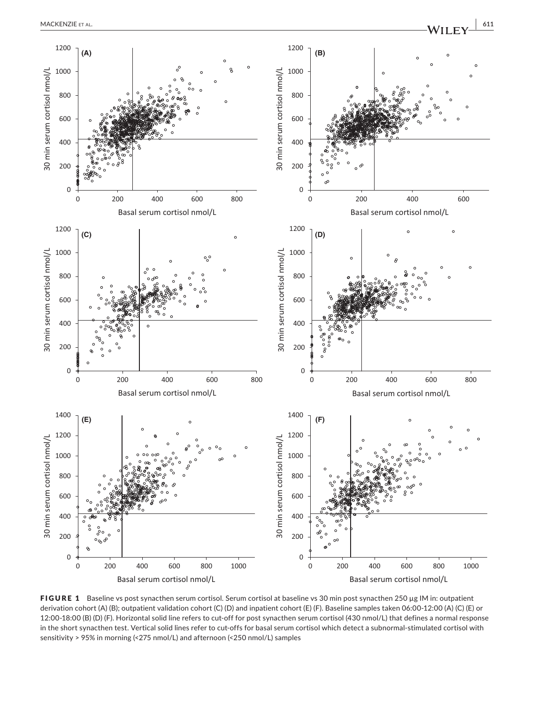

FIGURE 1 Baseline vs post synacthen serum cortisol. Serum cortisol at baseline vs 30 min post synacthen 250 µg IM in: outpatient derivation cohort (A) (B); outpatient validation cohort (C) (D) and inpatient cohort (E) (F). Baseline samples taken 06:00‐12:00 (A) (C) (E) or 12:00‐18:00 (B) (D) (F). Horizontal solid line refers to cut‐off for post synacthen serum cortisol (430 nmol/L) that defines a normal response in the short synacthen test. Vertical solid lines refer to cut-offs for basal serum cortisol which detect a subnormal-stimulated cortisol with sensitivity > 95% in morning (<275 nmol/L) and afternoon (<250 nmol/L) samples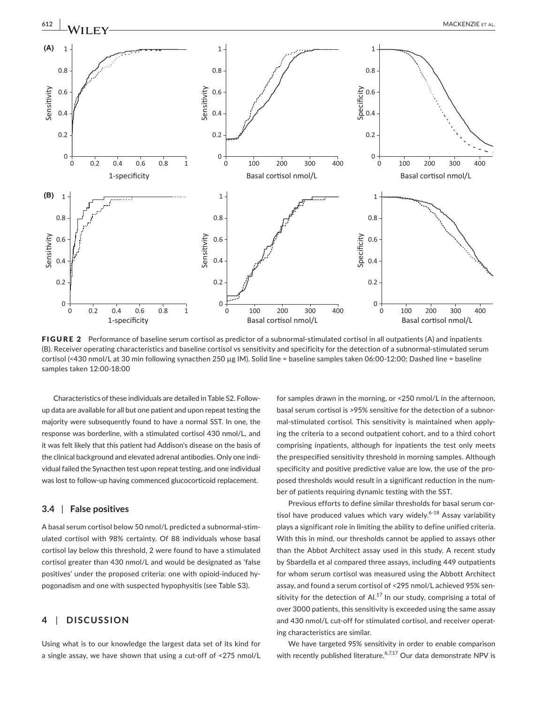

FIGURE 2 Performance of baseline serum cortisol as predictor of a subnormal-stimulated cortisol in all outpatients (A) and inpatients (B). Receiver operating characteristics and baseline cortisol vs sensitivity and specificity for the detection of a subnormal‐stimulated serum cortisol (<430 nmol/L at 30 min following synacthen 250 µg IM). Solid line = baseline samples taken 06:00-12:00; Dashed line = baseline samples taken 12:00‐18:00

Characteristics of these individuals are detailed in Table S2. Follow‐ up data are available for all but one patient and upon repeat testing the majority were subsequently found to have a normal SST. In one, the response was borderline, with a stimulated cortisol 430 nmol/L, and it was felt likely that this patient had Addison's disease on the basis of the clinical background and elevated adrenal antibodies. Only one indi‐ vidual failed the Synacthen test upon repeat testing, and one individual was lost to follow-up having commenced glucocorticoid replacement.

### **3.4** | **False positives**

A basal serum cortisol below 50 nmol/L predicted a subnormal‐stim‐ ulated cortisol with 98% certainty. Of 88 individuals whose basal cortisol lay below this threshold, 2 were found to have a stimulated cortisol greater than 430 nmol/L and would be designated as 'false positives' under the proposed criteria: one with opioid-induced hypogonadism and one with suspected hypophysitis (see Table S3).

# **4** | **DISCUSSION**

Using what is to our knowledge the largest data set of its kind for a single assay, we have shown that using a cut‐off of <275 nmol/L

for samples drawn in the morning, or <250 nmol/L in the afternoon, basal serum cortisol is >95% sensitive for the detection of a subnor‐ mal‐stimulated cortisol. This sensitivity is maintained when apply‐ ing the criteria to a second outpatient cohort, and to a third cohort comprising inpatients, although for inpatients the test only meets the prespecified sensitivity threshold in morning samples. Although specificity and positive predictive value are low, the use of the proposed thresholds would result in a significant reduction in the number of patients requiring dynamic testing with the SST.

Previous efforts to define similar thresholds for basal serum cor‐ tisol have produced values which vary widely.<sup>6-18</sup> Assay variability plays a significant role in limiting the ability to define unified criteria. With this in mind, our thresholds cannot be applied to assays other than the Abbot Architect assay used in this study. A recent study by Sbardella et al compared three assays, including 449 outpatients for whom serum cortisol was measured using the Abbott Architect assay, and found a serum cortisol of <295 nmol/L achieved 95% sen‐ sitivity for the detection of AI. $^{17}$  In our study, comprising a total of over 3000 patients, this sensitivity is exceeded using the same assay and 430 nmol/L cut-off for stimulated cortisol, and receiver operating characteristics are similar.

We have targeted 95% sensitivity in order to enable comparison with recently published literature.<sup>6,7,17</sup> Our data demonstrate NPV is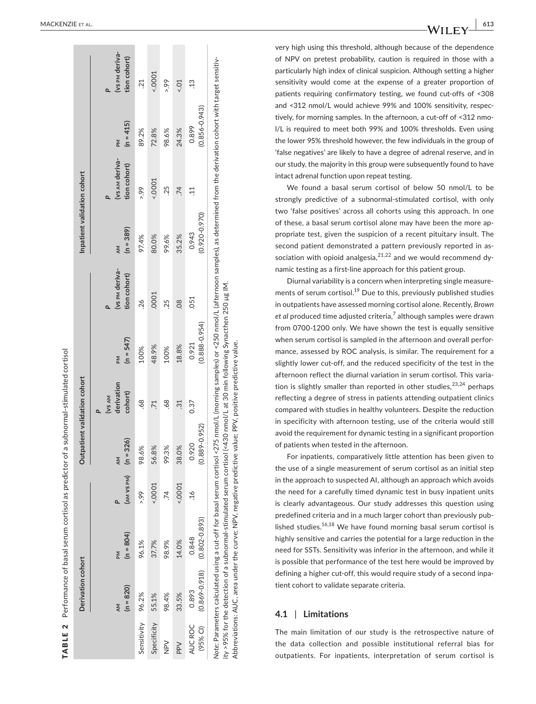|                     | Derivation cohort          |                            |                             | Outpatient validation cohort |                                 |                            |                                | Inpatient validation cohort |                                |                            |                                |
|---------------------|----------------------------|----------------------------|-----------------------------|------------------------------|---------------------------------|----------------------------|--------------------------------|-----------------------------|--------------------------------|----------------------------|--------------------------------|
|                     |                            |                            |                             |                              |                                 |                            |                                |                             |                                |                            |                                |
|                     | $(n = 820)$<br>AM          | $(n = 804)$<br>Md          | $(AM \vee SPM)$ $(n = 326)$ | AM                           | derivation<br>cohort)<br>(VS AM | $(n = 547)$<br>Md          | (vs PM deriva-<br>tion cohort) | $(n = 389)$<br>ΔM           | (vs AM deriva-<br>tion cohort) | $(n = 415)$<br>Md          | (vs PM deriva-<br>tion cohort) |
| Sensitivity         | 96.2%                      | 96.1%                      | 66.5                        | 98.6%                        | -68                             | 100%                       | 26                             | 97.4%                       | 66.5                           | 89.2%                      | $\overline{c}$                 |
| Specificity         | 55.1%                      | 37.7%                      | 50001                       | 56.8%                        | $\overline{71}$                 | 48.9%                      | .0001                          | 80.0%                       | 5000.5                         | 72.8%                      | 5000                           |
| $\geq$              | 98.4%                      | 98.9%                      | 74.                         | 99.3%                        | -68                             | 100%                       | 25                             | 99.6%                       | .25                            | 98.6%                      | 66.5                           |
| PPV                 | 33.5%                      | 14.0%                      | 50001                       | 38.0%                        | $\ddot{3}$                      | 18.8%                      | $\overline{0}$                 | 35.2%                       | $\dot{z}$                      | 24.3%                      | 50.5                           |
| AUC ROC<br>(95% CI) | $(0.869 - 0.918)$<br>0.893 | $(0.802 - 0.893)$<br>0.848 | $\frac{6}{1}$               | $(0.889 - 0.952)$<br>0.920   | 0.37                            | $(0.888 - 0.954)$<br>0.921 | 051                            | $(0.920 - 0.970)$<br>0.943  | $\Xi$                          | $(0.856 - 0.943)$<br>0.899 | $\ddot{c}$                     |

ity >95% for the detection of a subnormal-stimulated serum cortisol (<430 nmol/L at 30 min following Synacthen 250 µg IM. ity >95% for the detection of a subnormal‐stimulated serum cortisol (<430 nmol/L at 30 min following Synacthen 250 µg IM. Abbreviations: AUC, area under the curve; NPV, negative predictive value; PPV, positive predictive value. Abbreviations: AUC, area under the curve; NPV, negative predictive value; PPV, positive predictive value.

very high using this threshold, although because of the dependence of NPV on pretest probability, caution is required in those with a particularly high index of clinical suspicion. Although setting a higher sensitivity would come at the expense of a greater proportion of patients requiring confirmatory testing, we found cut‐offs of <308 and <312 nmol/L would achieve 99% and 100% sensitivity, respec ‐ tively, for morning samples. In the afternoon, a cut‐off of <312 nmo ‐ l/L is required to meet both 99% and 100% thresholds. Even using the lower 95% threshold however, the few individuals in the group of 'false negatives' are likely to have a degree of adrenal reserve, and in our study, the majority in this group were subsequently found to have intact adrenal function upon repeat testing. We found a basal serum cortisol of below 50 nmol/L to be

strongly predictive of a subnormal‐stimulated cortisol, with only two 'false positives' across all cohorts using this approach. In one of these, a basal serum cortisol alone may have been the more ap ‐ propriate test, given the suspicion of a recent pituitary insult. The second patient demonstrated a pattern previously reported in as ‐ sociation with opioid analgesia,  $2^{1,22}$  and we would recommend dynamic testing as a first‐line approach for this patient group.

Diurnal variability is a concern when interpreting single measure ‐ ments of serum cortisol.<sup>19</sup> Due to this, previously published studies in outpatients have assessed morning cortisol alone. Recently, *Brown et al* produced time adjusted criteria, 7 although samples were drawn from 0700‐1200 only. We have shown the test is equally sensitive when serum cortisol is sampled in the afternoon and overall perfor ‐ mance, assessed by ROC analysis, is similar. The requirement for a slightly lower cut-off, and the reduced specificity of the test in the afternoon reflect the diurnal variation in serum cortisol. This varia ‐ tion is slightly smaller than reported in other studies,  $2^{3,24}$  perhaps reflecting a degree of stress in patients attending outpatient clinics compared with studies in healthy volunteers. Despite the reduction in specificity with afternoon testing, use of the criteria would still avoid the requirement for dynamic testing in a significant proportion of patients when tested in the afternoon.

For inpatients, comparatively little attention has been given to the use of a single measurement of serum cortisol as an initial step in the approach to suspected AI, although an approach which avoids the need for a carefully timed dynamic test in busy inpatient units is clearly advantageous. Our study addresses this question using predefined criteria and in a much larger cohort than previously pub ‐ lished studies. $16,18$  We have found morning basal serum cortisol is highly sensitive and carries the potential for a large reduction in the need for SSTs. Sensitivity was inferior in the afternoon, and while it is possible that performance of the test here would be improved by defining a higher cut‐off, this would require study of a second inpa ‐ tient cohort to validate separate criteria.

# **4.1**  | **Limitations**

The main limitation of our study is the retrospective nature of the data collection and possible institutional referral bias for outpatients. For inpatients, interpretation of serum cortisol is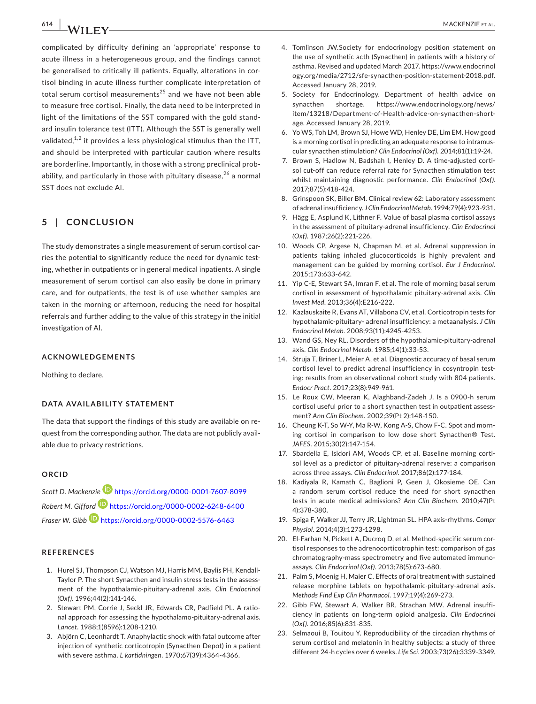**614 |**  MACKENZIE et al.

complicated by difficulty defining an 'appropriate' response to acute illness in a heterogeneous group, and the findings cannot be generalised to critically ill patients. Equally, alterations in cortisol binding in acute illness further complicate interpretation of total serum cortisol measurements<sup>25</sup> and we have not been able to measure free cortisol. Finally, the data need to be interpreted in light of the limitations of the SST compared with the gold stand‐ ard insulin tolerance test (ITT). Although the SST is generally well validated, $1,2$  it provides a less physiological stimulus than the ITT, and should be interpreted with particular caution where results are borderline. Importantly, in those with a strong preclinical prob‐ ability, and particularly in those with pituitary disease, $26$  a normal SST does not exclude AI.

# **5** | **CONCLUSION**

The study demonstrates a single measurement of serum cortisol carries the potential to significantly reduce the need for dynamic testing, whether in outpatients or in general medical inpatients. A single measurement of serum cortisol can also easily be done in primary care, and for outpatients, the test is of use whether samples are taken in the morning or afternoon, reducing the need for hospital referrals and further adding to the value of this strategy in the initial investigation of AI.

#### **ACKNOWLEDGEMENTS**

Nothing to declare.

#### **DATA AVAILABILITY STATEMENT**

The data that support the findings of this study are available on re‐ quest from the corresponding author. The data are not publicly avail‐ able due to privacy restrictions.

#### **ORCID**

*Scott D. Mackenzie* <https://orcid.org/0000-0001-7607-8099> *Robert M. Gifford* <https://orcid.org/0000-0002-6248-6400> *Fraser W. Gibb* <https://orcid.org/0000-0002-5576-6463>

#### **REFERENCES**

- 1. Hurel SJ, Thompson CJ, Watson MJ, Harris MM, Baylis PH, Kendall‐ Taylor P. The short Synacthen and insulin stress tests in the assess‐ ment of the hypothalamic‐pituitary‐adrenal axis. *Clin Endocrinol (Oxf)*. 1996;44(2):141‐146.
- 2. Stewart PM, Corrie J, Seckl JR, Edwards CR, Padfield PL. A ratio‐ nal approach for assessing the hypothalamo-pituitary-adrenal axis. *Lancet*. 1988;1(8596):1208‐1210.
- 3. Abjörn C, Leonhardt T. Anaphylactic shock with fatal outcome after injection of synthetic corticotropin (Synacthen Depot) in a patient with severe asthma. *L kartidningen*. 1970;67(39):4364‐4366.
- 4. Tomlinson JW.Society for endocrinology position statement on the use of synthetic acth (Synacthen) in patients with a history of asthma. Revised and updated March 2017. [https://www.endocrinol](https://www.endocrinology.org/media/2712/sfe-synacthen-position-statement-2018.pdf) [ogy.org/media/2712/sfe-synacthen-position-statement-2018.pdf.](https://www.endocrinology.org/media/2712/sfe-synacthen-position-statement-2018.pdf) Accessed January 28, 2019.
- 5. Society for Endocrinology. Department of health advice on synacthen shortage. [https://www.endocrinology.org/news/](https://www.endocrinology.org/news/item/13218/Department-of-Health-advice-on-synacthen-shortage) [item/13218/Department-of-Health-advice-on-synacthen-short](https://www.endocrinology.org/news/item/13218/Department-of-Health-advice-on-synacthen-shortage)‐ [age.](https://www.endocrinology.org/news/item/13218/Department-of-Health-advice-on-synacthen-shortage) Accessed January 28, 2019.
- 6. Yo WS, Toh LM, Brown SJ, Howe WD, Henley DE, Lim EM. How good is a morning cortisol in predicting an adequate response to intramuscular synacthen stimulation? *Clin Endocrinol (Oxf)*. 2014;81(1):19‐24.
- 7. Brown S, Hadlow N, Badshah I, Henley D. A time‐adjusted corti‐ sol cut-off can reduce referral rate for Synacthen stimulation test whilst maintaining diagnostic performance. *Clin Endocrinol (Oxf)*. 2017;87(5):418‐424.
- 8. Grinspoon SK, Biller BM. Clinical review 62: Laboratory assessment of adrenal insufficiency. *J Clin Endocrinol Metab*. 1994;79(4):923‐931.
- 9. Hägg E, Asplund K, Lithner F. Value of basal plasma cortisol assays in the assessment of pituitary‐adrenal insufficiency. *Clin Endocrinol (Oxf)*. 1987;26(2):221‐226.
- 10. Woods CP, Argese N, Chapman M, et al. Adrenal suppression in patients taking inhaled glucocorticoids is highly prevalent and management can be guided by morning cortisol. *Eur J Endocrinol*. 2015;173:633‐642.
- 11. Yip C‐E, Stewart SA, Imran F, et al. The role of morning basal serum cortisol in assessment of hypothalamic pituitary‐adrenal axis. *Clin Invest Med*. 2013;36(4):E216‐222.
- 12. Kazlauskaite R, Evans AT, Villabona CV, et al. Corticotropin tests for hypothalamic‐pituitary‐ adrenal insufficiency: a metaanalysis. *J Clin Endocrinol Metab*. 2008;93(11):4245‐4253.
- 13. Wand GS, Ney RL. Disorders of the hypothalamic‐pituitary‐adrenal axis. *Clin Endocrinol Metab*. 1985;14(1):33‐53.
- 14. Struja T, Briner L, Meier A, et al. Diagnostic accuracy of basal serum cortisol level to predict adrenal insufficiency in cosyntropin testing: results from an observational cohort study with 804 patients. *Endocr Pract*. 2017;23(8):949‐961.
- 15. Le Roux CW, Meeran K, Alaghband‐Zadeh J. Is a 0900‐h serum cortisol useful prior to a short synacthen test in outpatient assess‐ ment? *Ann Clin Biochem*. 2002;39(Pt 2):148‐150.
- 16. Cheung K‐T, So W‐Y, Ma R‐W, Kong A‐S, Chow F‐C. Spot and morn‐ ing cortisol in comparison to low dose short Synacthen® Test. *JAFES*. 2015;30(2):147‐154.
- 17. Sbardella E, Isidori AM, Woods CP, et al. Baseline morning corti‐ sol level as a predictor of pituitary‐adrenal reserve: a comparison across three assays. *Clin Endocrinol*. 2017;86(2):177‐184.
- 18. Kadiyala R, Kamath C, Baglioni P, Geen J, Okosieme OE. Can a random serum cortisol reduce the need for short synacthen tests in acute medical admissions? *Ann Clin Biochem*. 2010;47(Pt 4):378‐380.
- 19. Spiga F, Walker JJ, Terry JR, Lightman SL. HPA axis‐rhythms. *Compr Physiol*. 2014;4(3):1273‐1298.
- 20. El-Farhan N, Pickett A, Ducroq D, et al. Method-specific serum cortisol responses to the adrenocorticotrophin test: comparison of gas chromatography‐mass spectrometry and five automated immuno‐ assays. *Clin Endocrinol (Oxf)*. 2013;78(5):673‐680.
- 21. Palm S, Moenig H, Maier C. Effects of oral treatment with sustained release morphine tablets on hypothalamic‐pituitary‐adrenal axis. *Methods Find Exp Clin Pharmacol*. 1997;19(4):269‐273.
- 22. Gibb FW, Stewart A, Walker BR, Strachan MW. Adrenal insuffi‐ ciency in patients on long‐term opioid analgesia. *Clin Endocrinol (Oxf)*. 2016;85(6):831‐835.
- 23. Selmaoui B, Touitou Y. Reproducibility of the circadian rhythms of serum cortisol and melatonin in healthy subjects: a study of three different 24‐h cycles over 6 weeks. *Life Sci*. 2003;73(26):3339‐3349.